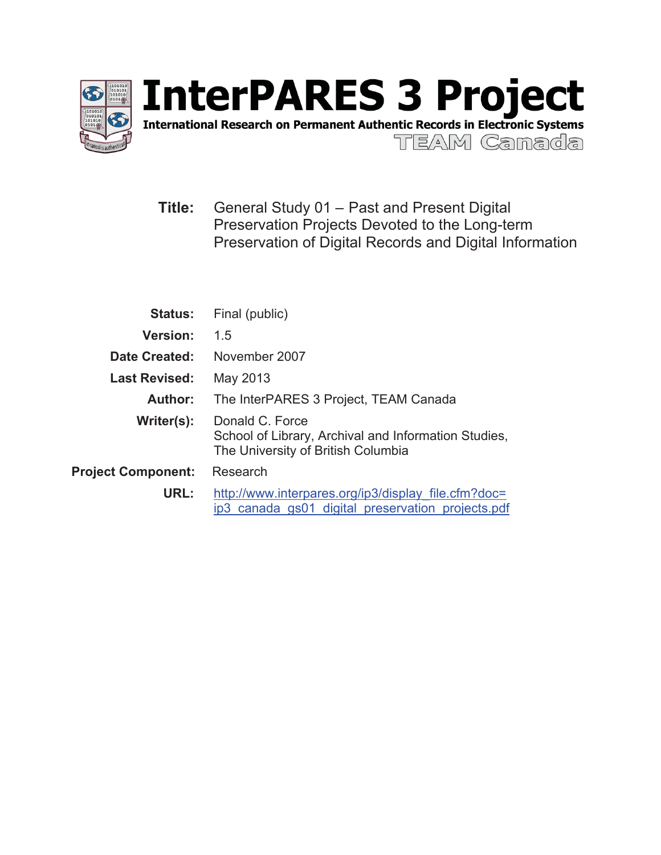

International Research on Permanent Authentic Records in Electronic Systems

TEAM Camada

**Title:** General Study 01 – Past and Present Digital Preservation Projects Devoted to the Long-term Preservation of Digital Records and Digital Information

| <b>Status:</b>            | Final (public)                                                                                                |  |  |
|---------------------------|---------------------------------------------------------------------------------------------------------------|--|--|
| <b>Version:</b>           | 1.5                                                                                                           |  |  |
| Date Created:             | November 2007                                                                                                 |  |  |
| <b>Last Revised:</b>      | May 2013                                                                                                      |  |  |
| Author:                   | The InterPARES 3 Project, TEAM Canada                                                                         |  |  |
| Writer(s):                | Donald C. Force<br>School of Library, Archival and Information Studies,<br>The University of British Columbia |  |  |
| <b>Project Component:</b> | Research                                                                                                      |  |  |
| URL:                      | http://www.interpares.org/ip3/display file.cfm?doc=<br>ip3 canada gs01 digital preservation projects.pdf      |  |  |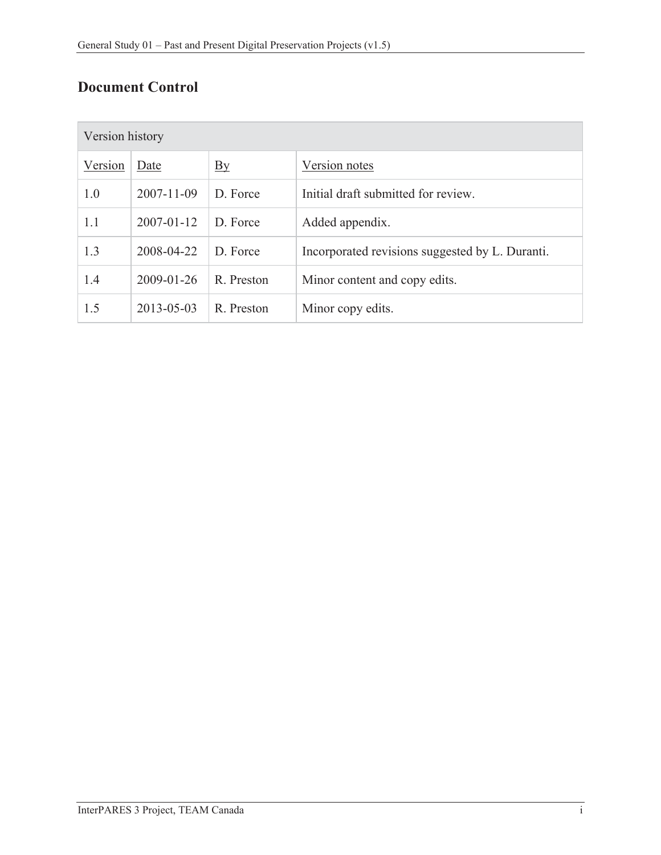# **Document Control**

| Version history |                  |                  |                                                 |  |  |
|-----------------|------------------|------------------|-------------------------------------------------|--|--|
| Version         | Date             | $\underline{By}$ | Version notes                                   |  |  |
| 1.0             | $2007 - 11 - 09$ | D. Force         | Initial draft submitted for review.             |  |  |
| 1.1             | $2007 - 01 - 12$ | D. Force         | Added appendix.                                 |  |  |
| 1.3             | 2008-04-22       | D. Force         | Incorporated revisions suggested by L. Duranti. |  |  |
| 1.4             | 2009-01-26       | R. Preston       | Minor content and copy edits.                   |  |  |
| 1.5             | 2013-05-03       | R. Preston       | Minor copy edits.                               |  |  |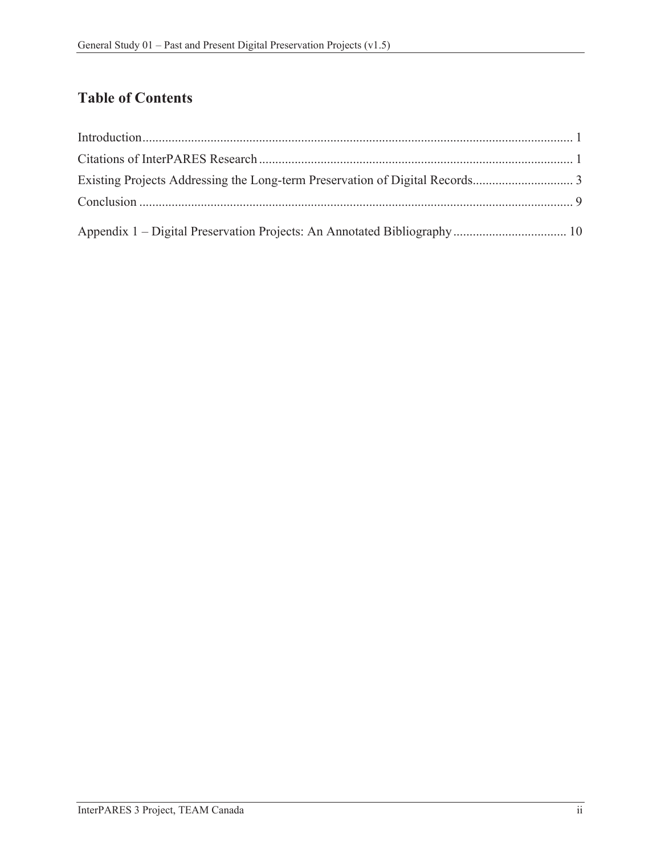# **Table of Contents**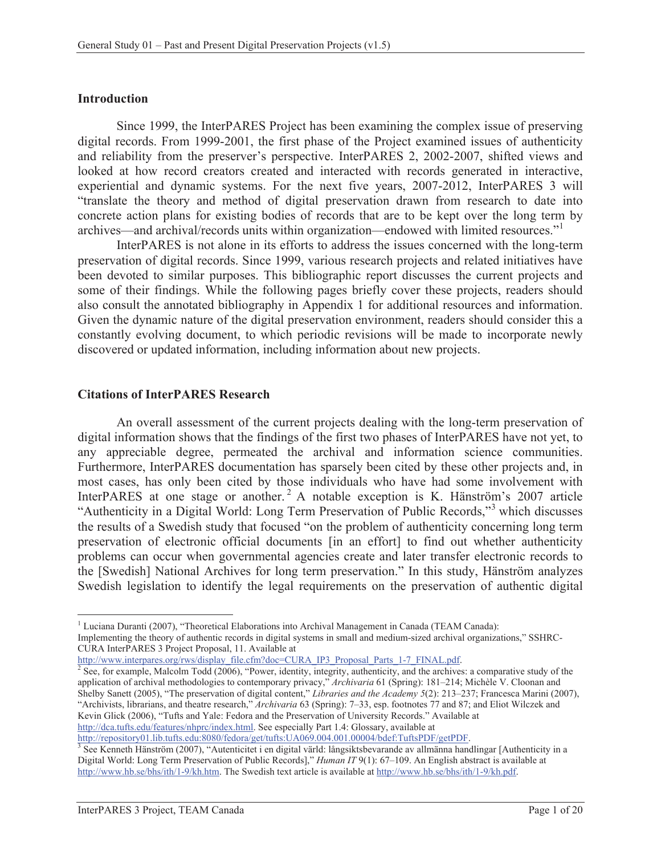#### **Introduction**

Since 1999, the InterPARES Project has been examining the complex issue of preserving digital records. From 1999-2001, the first phase of the Project examined issues of authenticity and reliability from the preserver's perspective. InterPARES 2, 2002-2007, shifted views and looked at how record creators created and interacted with records generated in interactive, experiential and dynamic systems. For the next five years, 2007-2012, InterPARES 3 will "translate the theory and method of digital preservation drawn from research to date into concrete action plans for existing bodies of records that are to be kept over the long term by archives—and archival/records units within organization—endowed with limited resources."<sup>1</sup>

InterPARES is not alone in its efforts to address the issues concerned with the long-term preservation of digital records. Since 1999, various research projects and related initiatives have been devoted to similar purposes. This bibliographic report discusses the current projects and some of their findings. While the following pages briefly cover these projects, readers should also consult the annotated bibliography in Appendix 1 for additional resources and information. Given the dynamic nature of the digital preservation environment, readers should consider this a constantly evolving document, to which periodic revisions will be made to incorporate newly discovered or updated information, including information about new projects.

#### **Citations of InterPARES Research**

An overall assessment of the current projects dealing with the long-term preservation of digital information shows that the findings of the first two phases of InterPARES have not yet, to any appreciable degree, permeated the archival and information science communities. Furthermore, InterPARES documentation has sparsely been cited by these other projects and, in most cases, has only been cited by those individuals who have had some involvement with InterPARES at one stage or another.<sup>2</sup> A notable exception is K. Hänström's 2007 article "Authenticity in a Digital World: Long Term Preservation of Public Records,"<sup>3</sup> which discusses the results of a Swedish study that focused "on the problem of authenticity concerning long term preservation of electronic official documents [in an effort] to find out whether authenticity problems can occur when governmental agencies create and later transfer electronic records to the [Swedish] National Archives for long term preservation." In this study, Hänström analyzes Swedish legislation to identify the legal requirements on the preservation of authentic digital

CURA InterPARES 3 Project Proposal, 11. Available at

http://www.interpares.org/rws/display\_file.cfm?doc=CURA\_IP3\_Proposal\_Parts\_1-7\_FINAL.pdf.

 $\overline{a}$ 

<sup>&</sup>lt;sup>1</sup> Luciana Duranti (2007), "Theoretical Elaborations into Archival Management in Canada (TEAM Canada): Implementing the theory of authentic records in digital systems in small and medium-sized archival organizations," SSHRC-

 $\frac{1}{2}$  See, for example, Malcolm Todd (2006), "Power, identity, integrity, authenticity, and the archives: a comparative study of the application of archival methodologies to contemporary privacy," *Archivaria* 61 (Spring): 181–214; Michèle V. Cloonan and Shelby Sanett (2005), "The preservation of digital content," *Libraries and the Academy 5*(2): 213–237; Francesca Marini (2007), "Archivists, librarians, and theatre research," *Archivaria* 63 (Spring): 7–33, esp. footnotes 77 and 87; and Eliot Wilczek and Kevin Glick (2006), "Tufts and Yale: Fedora and the Preservation of University Records." Available at http://dca.tufts.edu/features/nhprc/index.html. See especially Part 1.4: Glossary, available at

http://repository01.lib.tufts.edu:8080/fedora/get/tufts:UA069.004.001.00004/bdef:TuftsPDF/getPDF.<br><sup>3</sup> See Kenneth Hänström (2007), "Autenticitet i en digital värld: långsiktsbevarande av allmänna handlingar [Authenticity i Digital World: Long Term Preservation of Public Records]," *Human IT* 9(1): 67–109. An English abstract is available at http://www.hb.se/bhs/ith/1-9/kh.htm. The Swedish text article is available at http://www.hb.se/bhs/ith/1-9/kh.pdf.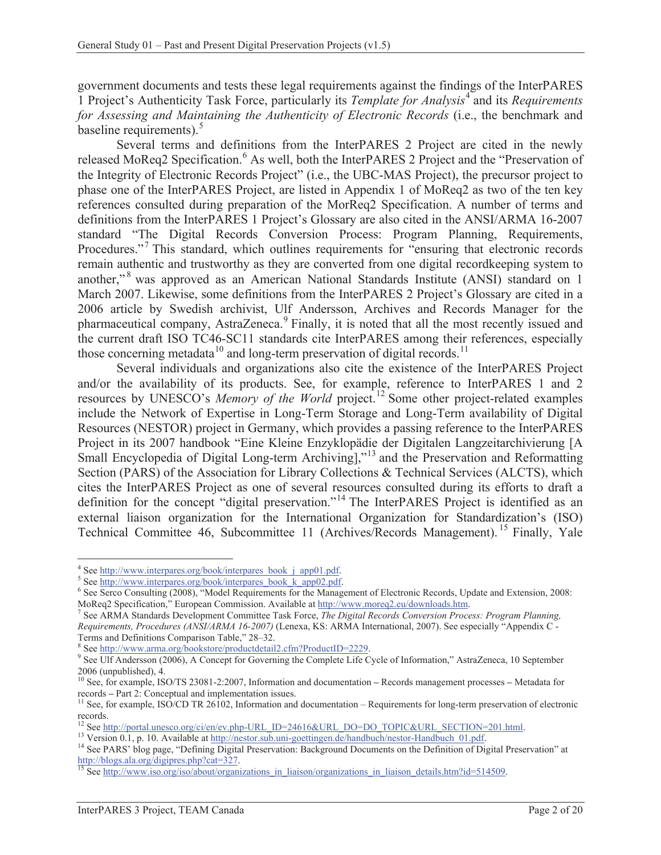government documents and tests these legal requirements against the findings of the InterPARES 1 Project's Authenticity Task Force, particularly its *Template for Analysis*<sup>4</sup> and its *Requirements for Assessing and Maintaining the Authenticity of Electronic Records* (i.e., the benchmark and baseline requirements).<sup>5</sup>

Several terms and definitions from the InterPARES 2 Project are cited in the newly released MoReq2 Specification.<sup>6</sup> As well, both the InterPARES 2 Project and the "Preservation of the Integrity of Electronic Records Project" (i.e., the UBC-MAS Project), the precursor project to phase one of the InterPARES Project, are listed in Appendix 1 of MoReq2 as two of the ten key references consulted during preparation of the MorReq2 Specification. A number of terms and definitions from the InterPARES 1 Project's Glossary are also cited in the ANSI/ARMA 16-2007 standard "The Digital Records Conversion Process: Program Planning, Requirements, Procedures."<sup>7</sup> This standard, which outlines requirements for "ensuring that electronic records remain authentic and trustworthy as they are converted from one digital recordkeeping system to another,"<sup>8</sup> was approved as an American National Standards Institute (ANSI) standard on 1 March 2007. Likewise, some definitions from the InterPARES 2 Project's Glossary are cited in a 2006 article by Swedish archivist, Ulf Andersson, Archives and Records Manager for the pharmaceutical company, AstraZeneca.<sup>9</sup> Finally, it is noted that all the most recently issued and the current draft ISO TC46-SC11 standards cite InterPARES among their references, especially those concerning metadata<sup>10</sup> and long-term preservation of digital records.<sup>11</sup>

Several individuals and organizations also cite the existence of the InterPARES Project and/or the availability of its products. See, for example, reference to InterPARES 1 and 2 resources by UNESCO's *Memory of the World* project.12 Some other project-related examples include the Network of Expertise in Long-Term Storage and Long-Term availability of Digital Resources (NESTOR) project in Germany, which provides a passing reference to the InterPARES Project in its 2007 handbook "Eine Kleine Enzyklopädie der Digitalen Langzeitarchivierung [A Small Encyclopedia of Digital Long-term Archiving],"<sup>13</sup> and the Preservation and Reformatting Section (PARS) of the Association for Library Collections & Technical Services (ALCTS), which cites the InterPARES Project as one of several resources consulted during its efforts to draft a definition for the concept "digital preservation."<sup>14</sup> The InterPARES Project is identified as an external liaison organization for the International Organization for Standardization's (ISO) Technical Committee 46, Subcommittee 11 (Archives/Records Management). 15 Finally, Yale

<sup>&</sup>lt;sup>4</sup> See http://www.interpares.org/book/interpares\_book\_j\_app01.pdf.<br><sup>5</sup> See http://www.interpares.org/book/interpares\_book\_k\_app02.pdf

 $^{\circ}$  See http://www.interpares.org/book/interpares\_book\_k\_app02.pdf.  $^{\circ}$  See Serge Consulting (2008), "Model Bequirements for the Menage

<sup>&</sup>lt;sup>6</sup> See Serco Consulting (2008), "Model Requirements for the Management of Electronic Records, Update and Extension, 2008: MoReq2 Specification," European Commission. Available at http://www.moreq2.eu/downloads.htm. 7

See ARMA Standards Development Committee Task Force, *The Digital Records Conversion Process: Program Planning, Requirements, Procedures (ANSI/ARMA 16-2007)* (Lenexa, KS: ARMA International, 2007). See especially "Appendix C - Terms and Definitions Comparison Table," 28-32.

<sup>&</sup>lt;sup>8</sup> See http://www.arma.org/bookstore/productdetail2.cfm?ProductID=2229.

<sup>&</sup>lt;sup>9</sup> See Ulf Andersson (2006), A Concept for Governing the Complete Life Cycle of Information," AstraZeneca, 10 September 2006 (unpublished), 4.

<sup>10</sup> See, for example, ISO/TS 23081-2:2007, Information and documentation **–** Records management processes **–** Metadata for records – Part 2: Conceptual and implementation issues.<br><sup>11</sup> See, for example, ISO/CD TR 26102, Information and documentation – Requirements for long-term preservation of electronic

records.<br><sup>12</sup> See http://portal.unesco.org/ci/en/ev.php-URL\_ID=24616&URL\_DO=DO\_TOPIC&URL\_SECTION=201.html.

<sup>&</sup>lt;sup>13</sup> Version 0.1, p. 10. Available at http://nestor.sub.uni-goettingen.de/handbuch/nestor-Handbuch\_01.pdf.<br><sup>14</sup> See PARS' blog page, "Defining Digital Preservation: Background Documents on the Definition of Digital Preserv http://blogs.ala.org/digipres.php?cat=327.<br><sup>15</sup> See http://www.iso.org/iso/about/organizations\_in\_liaison/organizations\_in\_liaison\_details.htm?id=514509.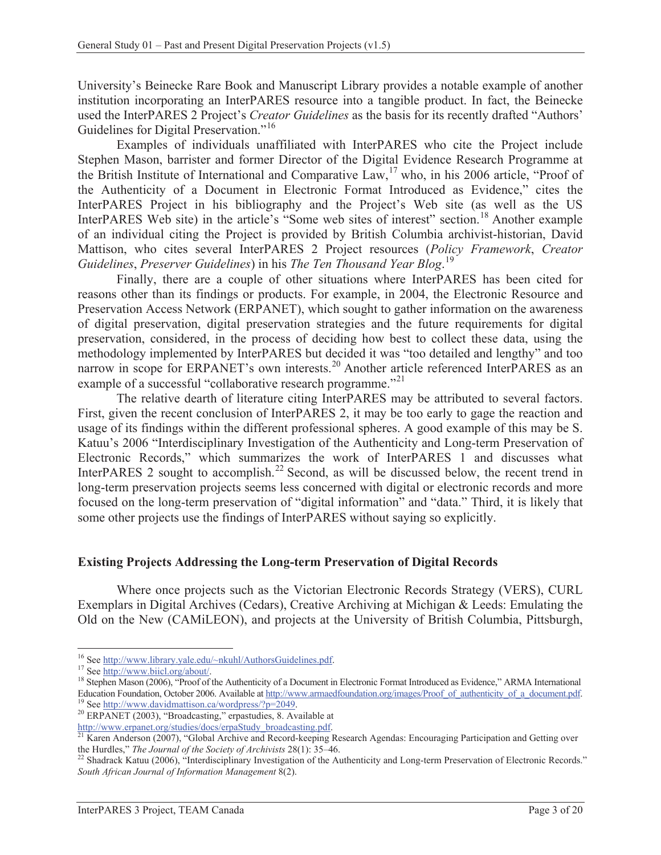University's Beinecke Rare Book and Manuscript Library provides a notable example of another institution incorporating an InterPARES resource into a tangible product. In fact, the Beinecke used the InterPARES 2 Project's *Creator Guidelines* as the basis for its recently drafted "Authors' Guidelines for Digital Preservation."<sup>16</sup>

Examples of individuals unaffiliated with InterPARES who cite the Project include Stephen Mason, barrister and former Director of the Digital Evidence Research Programme at the British Institute of International and Comparative Law,<sup>17</sup> who, in his 2006 article, "Proof of the Authenticity of a Document in Electronic Format Introduced as Evidence," cites the InterPARES Project in his bibliography and the Project's Web site (as well as the US InterPARES Web site) in the article's "Some web sites of interest" section.<sup>18</sup> Another example of an individual citing the Project is provided by British Columbia archivist-historian, David Mattison, who cites several InterPARES 2 Project resources (*Policy Framework*, *Creator Guidelines*, *Preserver Guidelines*) in his *The Ten Thousand Year Blog*. 19

Finally, there are a couple of other situations where InterPARES has been cited for reasons other than its findings or products. For example, in 2004, the Electronic Resource and Preservation Access Network (ERPANET), which sought to gather information on the awareness of digital preservation, digital preservation strategies and the future requirements for digital preservation, considered, in the process of deciding how best to collect these data, using the methodology implemented by InterPARES but decided it was "too detailed and lengthy" and too narrow in scope for ERPANET's own interests.<sup>20</sup> Another article referenced InterPARES as an example of a successful "collaborative research programme."<sup>21</sup>

The relative dearth of literature citing InterPARES may be attributed to several factors. First, given the recent conclusion of InterPARES 2, it may be too early to gage the reaction and usage of its findings within the different professional spheres. A good example of this may be S. Katuu's 2006 "Interdisciplinary Investigation of the Authenticity and Long-term Preservation of Electronic Records," which summarizes the work of InterPARES 1 and discusses what InterPARES 2 sought to accomplish.<sup>22</sup> Second, as will be discussed below, the recent trend in long-term preservation projects seems less concerned with digital or electronic records and more focused on the long-term preservation of "digital information" and "data." Third, it is likely that some other projects use the findings of InterPARES without saying so explicitly.

#### **Existing Projects Addressing the Long-term Preservation of Digital Records**

Where once projects such as the Victorian Electronic Records Strategy (VERS), CURL Exemplars in Digital Archives (Cedars), Creative Archiving at Michigan & Leeds: Emulating the Old on the New (CAMiLEON), and projects at the University of British Columbia, Pittsburgh,

<sup>&</sup>lt;sup>16</sup> See http://www.library.yale.edu/~nkuhl/AuthorsGuidelines.pdf.

<sup>&</sup>lt;sup>17</sup> See http://www.biicl.org/about/.<br><sup>18</sup> Stephen Mason (2006), "Proof of the Authenticity of a Document in Electronic Format Introduced as Evidence," ARMA International Education Foundation, October 2006. Available at http://www.armaedfoundation.org/images/Proof\_of\_authenticity\_of\_a\_document.pdf.<br><sup>19</sup> See http://www.davidmattison.ca/wordpress/?p=2049.<br><sup>20</sup> ERPANET (2003), "Broadcasting,"

Karen Anderson (2007), "Global Archive and Record-keeping Research Agendas: Encouraging Participation and Getting over the Hurdles," *The Journal of the Society of Archivists* 28(1): 35–46.<br><sup>22</sup> Shadrack Katuu (2006), "Interdisciplinary Investigation of the Authenticity and Long-term Preservation of Electronic Records."

*South African Journal of Information Management* 8(2).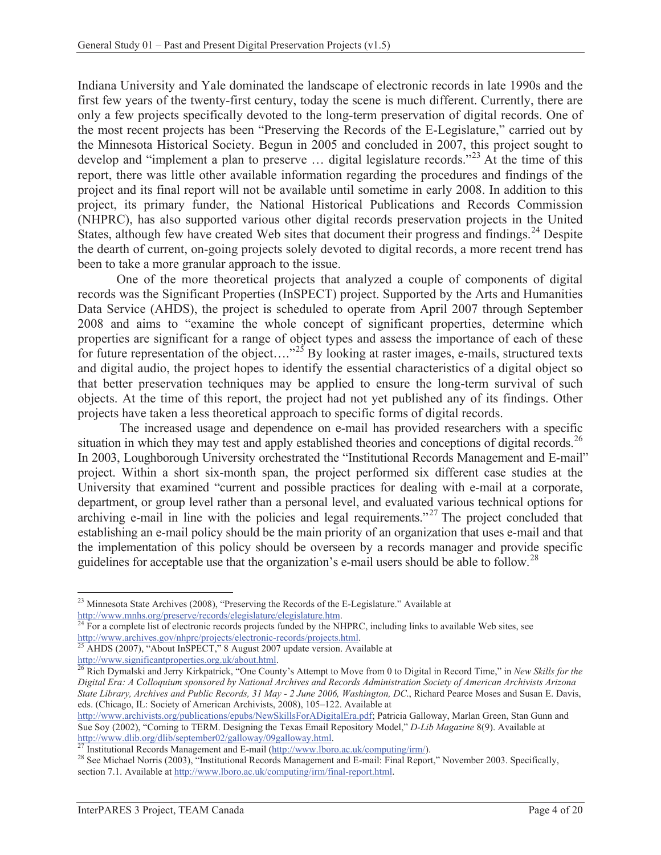Indiana University and Yale dominated the landscape of electronic records in late 1990s and the first few years of the twenty-first century, today the scene is much different. Currently, there are only a few projects specifically devoted to the long-term preservation of digital records. One of the most recent projects has been "Preserving the Records of the E-Legislature," carried out by the Minnesota Historical Society. Begun in 2005 and concluded in 2007, this project sought to develop and "implement a plan to preserve ... digital legislature records."<sup>23</sup> At the time of this report, there was little other available information regarding the procedures and findings of the project and its final report will not be available until sometime in early 2008. In addition to this project, its primary funder, the National Historical Publications and Records Commission (NHPRC), has also supported various other digital records preservation projects in the United States, although few have created Web sites that document their progress and findings.<sup>24</sup> Despite the dearth of current, on-going projects solely devoted to digital records, a more recent trend has been to take a more granular approach to the issue.

One of the more theoretical projects that analyzed a couple of components of digital records was the Significant Properties (InSPECT) project. Supported by the Arts and Humanities Data Service (AHDS), the project is scheduled to operate from April 2007 through September 2008 and aims to "examine the whole concept of significant properties, determine which properties are significant for a range of object types and assess the importance of each of these for future representation of the object...."<sup>25</sup> By looking at raster images, e-mails, structured texts and digital audio, the project hopes to identify the essential characteristics of a digital object so that better preservation techniques may be applied to ensure the long-term survival of such objects. At the time of this report, the project had not yet published any of its findings. Other projects have taken a less theoretical approach to specific forms of digital records.

 The increased usage and dependence on e-mail has provided researchers with a specific situation in which they may test and apply established theories and conceptions of digital records.<sup>26</sup> In 2003, Loughborough University orchestrated the "Institutional Records Management and E-mail" project. Within a short six-month span, the project performed six different case studies at the University that examined "current and possible practices for dealing with e-mail at a corporate, department, or group level rather than a personal level, and evaluated various technical options for archiving e-mail in line with the policies and legal requirements."27 The project concluded that establishing an e-mail policy should be the main priority of an organization that uses e-mail and that the implementation of this policy should be overseen by a records manager and provide specific guidelines for acceptable use that the organization's e-mail users should be able to follow.<sup>28</sup>

 $\overline{a}$  $^{23}$  Minnesota State Archives (2008), "Preserving the Records of the E-Legislature." Available at http://www.mnhs.org/preserve/records/elegislature/elegislature.htm.<br><sup>24</sup> For a complete list of electronic records projects funded by the NHPRC, including links to available Web sites, see

http://www.archives.gov/nhprc/projects/electronic-records/projects.html.<br><sup>25</sup> AHDS (2007), "About InSPECT," 8 August 2007 update version. Available at http://www.significantproperties.org.uk/about.html.

<sup>&</sup>lt;sup>26</sup> Rich Dymalski and Jerry Kirkpatrick, "One County's Attempt to Move from 0 to Digital in Record Time," in *New Skills for the Digital Era: A Colloquium sponsored by National Archives and Records Administration Society of American Archivists Arizona State Library, Archives and Public Records, 31 May - 2 June 2006, Washington, DC*., Richard Pearce Moses and Susan E. Davis, eds. (Chicago, IL: Society of American Archivists, 2008), 105–122. Available at

http://www.archivists.org/publications/epubs/NewSkillsForADigitalEra.pdf; Patricia Galloway, Marlan Green, Stan Gunn and Sue Soy (2002), "Coming to TERM. Designing the Texas Email Repository Model," *D-Lib Magazine* 8(9). Available at http://www.dlib.org/dlib/september02/galloway/09galloway.html.

<sup>&</sup>lt;sup>27</sup> Institutional Records Management and E-mail ( $\frac{http://www.lboro.ac.uk/computing/irm/}{http://www.lboro.ac.uk/computing/irm/})$ .<br><sup>28</sup> See Michael Norris (2003), "Institutional Records Management and E-mail: Final Report," November 2003. Specifically, section 7.1. Available at http://www.lboro.ac.uk/computing/irm/final-report.html.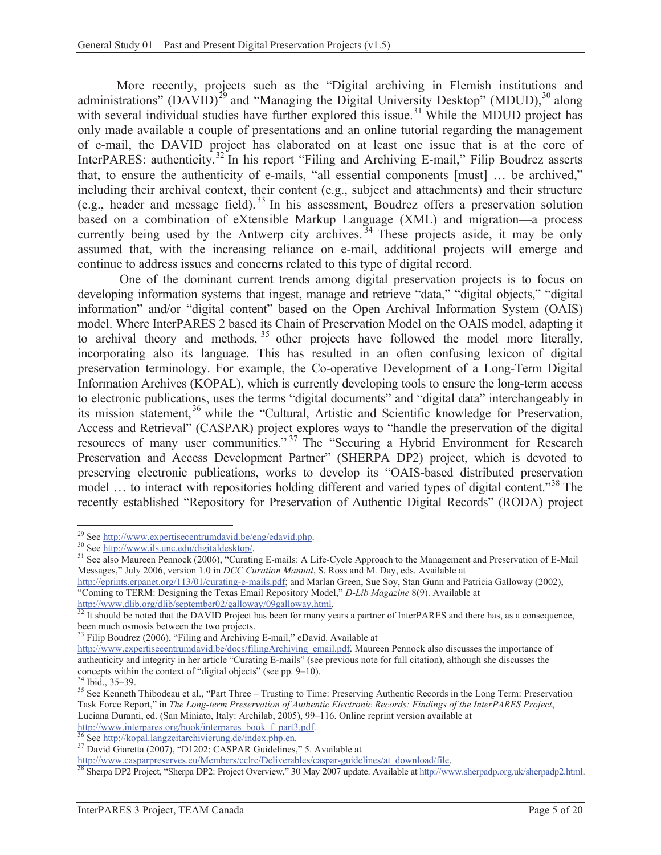More recently, projects such as the "Digital archiving in Flemish institutions and administrations" (DAVID)<sup>29</sup> and "Managing the Digital University Desktop" (MDUD),<sup>30</sup> along with several individual studies have further explored this issue.<sup>31</sup> While the MDUD project has only made available a couple of presentations and an online tutorial regarding the management of e-mail, the DAVID project has elaborated on at least one issue that is at the core of InterPARES: authenticity.<sup>32</sup> In his report "Filing and Archiving E-mail," Filip Boudrez asserts that, to ensure the authenticity of e-mails, "all essential components [must] … be archived," including their archival context, their content (e.g., subject and attachments) and their structure (e.g., header and message field). 33 In his assessment, Boudrez offers a preservation solution based on a combination of eXtensible Markup Language (XML) and migration—a process currently being used by the Antwerp city archives.  $34$  These projects aside, it may be only assumed that, with the increasing reliance on e-mail, additional projects will emerge and continue to address issues and concerns related to this type of digital record.

 One of the dominant current trends among digital preservation projects is to focus on developing information systems that ingest, manage and retrieve "data," "digital objects," "digital information" and/or "digital content" based on the Open Archival Information System (OAIS) model. Where InterPARES 2 based its Chain of Preservation Model on the OAIS model, adapting it to archival theory and methods,  $35$  other projects have followed the model more literally, incorporating also its language. This has resulted in an often confusing lexicon of digital preservation terminology. For example, the Co-operative Development of a Long-Term Digital Information Archives (KOPAL), which is currently developing tools to ensure the long-term access to electronic publications, uses the terms "digital documents" and "digital data" interchangeably in its mission statement,<sup>36</sup> while the "Cultural, Artistic and Scientific knowledge for Preservation, Access and Retrieval" (CASPAR) project explores ways to "handle the preservation of the digital resources of many user communities." 37 The "Securing a Hybrid Environment for Research Preservation and Access Development Partner" (SHERPA DP2) project, which is devoted to preserving electronic publications, works to develop its "OAIS-based distributed preservation model ... to interact with repositories holding different and varied types of digital content.<sup>38</sup> The recently established "Repository for Preservation of Authentic Digital Records" (RODA) project

<sup>33</sup> Filip Boudrez (2006), "Filing and Archiving E-mail," eDavid. Available at

34 Ibid., 35–39.

<sup>&</sup>lt;sup>29</sup> See http://www.expertisecentrumdavid.be/eng/edavid.php.

<sup>&</sup>lt;sup>30</sup> See http://www.ils.unc.edu/digitaldesktop/.<br><sup>31</sup> See also Maureen Pennock (2006), "Curating E-mails: A Life-Cycle Approach to the Management and Preservation of E-Mail Messages," July 2006, version 1.0 in *DCC Curation Manual*, S. Ross and M. Day, eds. Available at

http://eprints.erpanet.org/113/01/curating-e-mails.pdf; and Marlan Green, Sue Soy, Stan Gunn and Patricia Galloway (2002), "Coming to TERM: Designing the Texas Email Repository Model," *D-Lib Magazine* 8(9). Available at

http://www.dlib.org/dlib/september02/galloway/09galloway.html.<br><sup>32</sup> It should be noted that the DAVID Project has been for many years a partner of InterPARES and there has, as a consequence, been much osmosis between the two projects.

http://www.expertisecentrumdavid.be/docs/filingArchiving\_email.pdf. Maureen Pennock also discusses the importance of authenticity and integrity in her article "Curating E-mails" (see previous note for full citation), although she discusses the concepts within the context of "digital objects" (see pp. 9–10).

<sup>&</sup>lt;sup>35</sup> See Kenneth Thibodeau et al., "Part Three – Trusting to Time: Preserving Authentic Records in the Long Term: Preservation Task Force Report," in *The Long-term Preservation of Authentic Electronic Records: Findings of the InterPARES Project*, Luciana Duranti, ed. (San Miniato, Italy: Archilab, 2005), 99–116. Online reprint version available at http://www.interpares.org/book/interpares\_book\_f\_part3.pdf.

<sup>&</sup>lt;sup>36</sup> See http://kopal.langzeitarchivierung.de/index.php.en.<br><sup>37</sup> David Giaretta (2007), "D1202: CASPAR Guidelines," 5. Available at http://www.casparpreserves.eu/Members/cclrc/Deliverables/caspar-guidelines/at download/fil

<sup>38</sup> Sherpa DP2 Project, "Sherpa DP2: Project Overview," 30 May 2007 update. Available at http://www.sherpadp.org.uk/sherpadp2.html.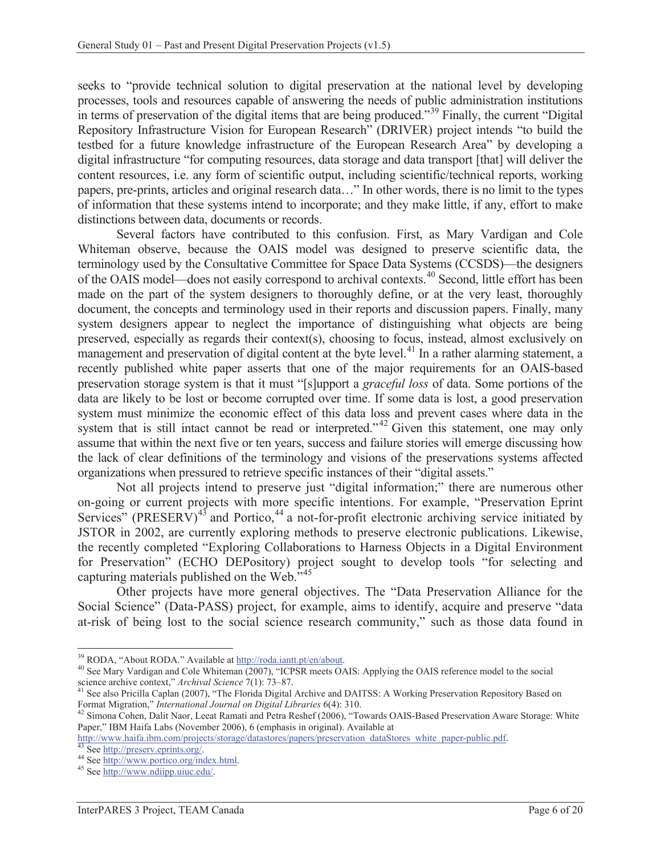seeks to "provide technical solution to digital preservation at the national level by developing processes, tools and resources capable of answering the needs of public administration institutions in terms of preservation of the digital items that are being produced."<sup>39</sup> Finally, the current "Digital" Repository Infrastructure Vision for European Research" (DRIVER) project intends "to build the testbed for a future knowledge infrastructure of the European Research Area" by developing a digital infrastructure "for computing resources, data storage and data transport [that] will deliver the content resources, i.e. any form of scientific output, including scientific/technical reports, working papers, pre-prints, articles and original research data…" In other words, there is no limit to the types of information that these systems intend to incorporate; and they make little, if any, effort to make distinctions between data, documents or records.

Several factors have contributed to this confusion. First, as Mary Vardigan and Cole Whiteman observe, because the OAIS model was designed to preserve scientific data, the terminology used by the Consultative Committee for Space Data Systems (CCSDS)—the designers of the OAIS model—does not easily correspond to archival contexts.40 Second, little effort has been made on the part of the system designers to thoroughly define, or at the very least, thoroughly document, the concepts and terminology used in their reports and discussion papers. Finally, many system designers appear to neglect the importance of distinguishing what objects are being preserved, especially as regards their context(s), choosing to focus, instead, almost exclusively on management and preservation of digital content at the byte level.<sup>41</sup> In a rather alarming statement, a recently published white paper asserts that one of the major requirements for an OAIS-based preservation storage system is that it must "[s]upport a *graceful loss* of data. Some portions of the data are likely to be lost or become corrupted over time. If some data is lost, a good preservation system must minimize the economic effect of this data loss and prevent cases where data in the system that is still intact cannot be read or interpreted."<sup>42</sup> Given this statement, one may only assume that within the next five or ten years, success and failure stories will emerge discussing how the lack of clear definitions of the terminology and visions of the preservations systems affected organizations when pressured to retrieve specific instances of their "digital assets."

Not all projects intend to preserve just "digital information;" there are numerous other on-going or current projects with more specific intentions. For example, "Preservation Eprint Services" (PRESERV)<sup>43</sup> and Portico,<sup>44</sup> a not-for-profit electronic archiving service initiated by JSTOR in 2002, are currently exploring methods to preserve electronic publications. Likewise, the recently completed "Exploring Collaborations to Harness Objects in a Digital Environment for Preservation" (ECHO DEPository) project sought to develop tools "for selecting and capturing materials published on the Web."<sup>45</sup>

Other projects have more general objectives. The "Data Preservation Alliance for the Social Science" (Data-PASS) project, for example, aims to identify, acquire and preserve "data at-risk of being lost to the social science research community," such as those data found in

<sup>&</sup>lt;sup>39</sup> RODA, "About RODA." Available at http://roda.iantt.pt/en/about.

<sup>&</sup>lt;sup>40</sup> See Mary Vardigan and Cole Whiteman (2007), "ICPSR meets OAIS: Applying the OAIS reference model to the social science archive context," *Archival Science* 7(1): 73–87.<br><sup>41</sup> See also Pricilla Caplan (2007), "The Florida Digital Archive and DAITSS: A Working Preservation Repository Based on

Format Migration," *International Journal on Digital Libraries* 6(4): 310.<br><sup>42</sup> Simona Cohen, Dalit Naor, Leeat Ramati and Petra Reshef (2006), "Towards OAIS-Based Preservation Aware Storage: White

Paper," IBM Haifa Labs (November 2006), 6 (emphasis in original). Available at

http://www.haifa.ibm.com/projects/storage/datastores/papers/preservation\_dataStores\_white\_paper-public.pdf. 43 See http://preserv.eprints.org/. 44 See http://www.portico.org/index.html. 45 See http://www.ndiipp.uiuc.edu/.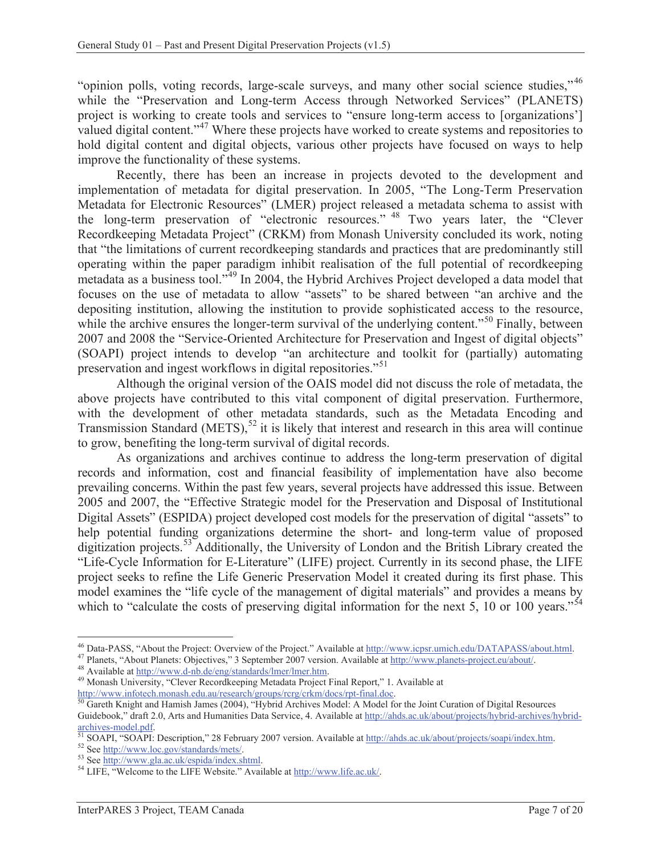"opinion polls, voting records, large-scale surveys, and many other social science studies,"<sup>46</sup> while the "Preservation and Long-term Access through Networked Services" (PLANETS) project is working to create tools and services to "ensure long-term access to [organizations'] valued digital content."<sup>47</sup> Where these projects have worked to create systems and repositories to hold digital content and digital objects, various other projects have focused on ways to help improve the functionality of these systems.

Recently, there has been an increase in projects devoted to the development and implementation of metadata for digital preservation. In 2005, "The Long-Term Preservation Metadata for Electronic Resources" (LMER) project released a metadata schema to assist with the long-term preservation of "electronic resources." 48 Two years later, the "Clever Recordkeeping Metadata Project" (CRKM) from Monash University concluded its work, noting that "the limitations of current recordkeeping standards and practices that are predominantly still operating within the paper paradigm inhibit realisation of the full potential of recordkeeping metadata as a business tool."49 In 2004, the Hybrid Archives Project developed a data model that focuses on the use of metadata to allow "assets" to be shared between "an archive and the depositing institution, allowing the institution to provide sophisticated access to the resource, while the archive ensures the longer-term survival of the underlying content."<sup>50</sup> Finally, between 2007 and 2008 the "Service-Oriented Architecture for Preservation and Ingest of digital objects" (SOAPI) project intends to develop "an architecture and toolkit for (partially) automating preservation and ingest workflows in digital repositories.<sup>"51</sup>

Although the original version of the OAIS model did not discuss the role of metadata, the above projects have contributed to this vital component of digital preservation. Furthermore, with the development of other metadata standards, such as the Metadata Encoding and Transmission Standard (METS),<sup>52</sup> it is likely that interest and research in this area will continue to grow, benefiting the long-term survival of digital records.

As organizations and archives continue to address the long-term preservation of digital records and information, cost and financial feasibility of implementation have also become prevailing concerns. Within the past few years, several projects have addressed this issue. Between 2005 and 2007, the "Effective Strategic model for the Preservation and Disposal of Institutional Digital Assets" (ESPIDA) project developed cost models for the preservation of digital "assets" to help potential funding organizations determine the short- and long-term value of proposed digitization projects.<sup>53</sup> Additionally, the University of London and the British Library created the "Life-Cycle Information for E-Literature" (LIFE) project. Currently in its second phase, the LIFE project seeks to refine the Life Generic Preservation Model it created during its first phase. This model examines the "life cycle of the management of digital materials" and provides a means by which to "calculate the costs of preserving digital information for the next 5, 10 or 100 years."<sup>54</sup>

 $\overline{a}$ <sup>46</sup> Data-PASS, "About the Project: Overview of the Project." Available at <u>http://www.icpsr.umich.edu/DATAPASS/about.html</u>.<br><sup>47</sup> Planets, "About Planets: Objectives," 3 September 2007 version. Available at <u>http://www.pla</u>

http://www.infotech.monash.edu.au/research/groups/rcrg/crkm/docs/rpt-final.doc. 50 Gareth Knight and Hamish James (2004), "Hybrid Archives Model: A Model for the Joint Curation of Digital Resources Guidebook," draft 2.0, Arts and Humanities Data Service, 4. Available at http://ahds.ac.uk/about/projects/hybrid-archives/hybrid-<br>archives-model.pdf.<br> $\frac{5!604 \text{ N}}{2004 \text{ N}}$ 

<sup>&</sup>lt;sup>51</sup> SOAPI, "SOAPI: Description," 28 February 2007 version. Available at http://ahds.ac.uk/about/projects/soapi/index.htm.<br><sup>52</sup> See http://www.loc.gov/standards/mets/.<br><sup>53</sup> See http://www.gla.ac.uk/espida/index.shtml.<br><sup>53</sup>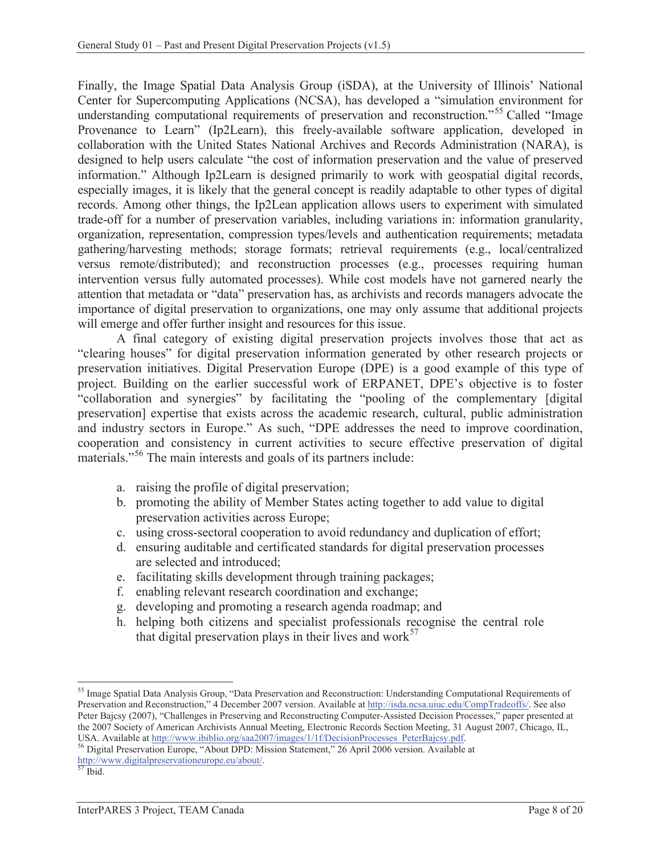Finally, the Image Spatial Data Analysis Group (iSDA), at the University of Illinois' National Center for Supercomputing Applications (NCSA), has developed a "simulation environment for understanding computational requirements of preservation and reconstruction."<sup>55</sup> Called "Image" Provenance to Learn" (Ip2Learn), this freely-available software application, developed in collaboration with the United States National Archives and Records Administration (NARA), is designed to help users calculate "the cost of information preservation and the value of preserved information." Although Ip2Learn is designed primarily to work with geospatial digital records, especially images, it is likely that the general concept is readily adaptable to other types of digital records. Among other things, the Ip2Lean application allows users to experiment with simulated trade-off for a number of preservation variables, including variations in: information granularity, organization, representation, compression types/levels and authentication requirements; metadata gathering/harvesting methods; storage formats; retrieval requirements (e.g., local/centralized versus remote/distributed); and reconstruction processes (e.g., processes requiring human intervention versus fully automated processes). While cost models have not garnered nearly the attention that metadata or "data" preservation has, as archivists and records managers advocate the importance of digital preservation to organizations, one may only assume that additional projects will emerge and offer further insight and resources for this issue.

A final category of existing digital preservation projects involves those that act as "clearing houses" for digital preservation information generated by other research projects or preservation initiatives. Digital Preservation Europe (DPE) is a good example of this type of project. Building on the earlier successful work of ERPANET, DPE's objective is to foster "collaboration and synergies" by facilitating the "pooling of the complementary [digital preservation] expertise that exists across the academic research, cultural, public administration and industry sectors in Europe." As such, "DPE addresses the need to improve coordination, cooperation and consistency in current activities to secure effective preservation of digital materials."56 The main interests and goals of its partners include:

- a. raising the profile of digital preservation;
- b. promoting the ability of Member States acting together to add value to digital preservation activities across Europe;
- c. using cross-sectoral cooperation to avoid redundancy and duplication of effort;
- d. ensuring auditable and certificated standards for digital preservation processes are selected and introduced;
- e. facilitating skills development through training packages;
- f. enabling relevant research coordination and exchange;
- g. developing and promoting a research agenda roadmap; and
- h. helping both citizens and specialist professionals recognise the central role that digital preservation plays in their lives and work $57$

 $\overline{a}$ <sup>55</sup> Image Spatial Data Analysis Group, "Data Preservation and Reconstruction: Understanding Computational Requirements of Preservation and Reconstruction," 4 December 2007 version. Available at http://isda.ncsa.uiuc.edu/CompTradeoffs/. See also Peter Bajcsy (2007), "Challenges in Preserving and Reconstructing Computer-Assisted Decision Processes," paper presented at the 2007 Society of American Archivists Annual Meeting, Electronic Records Section Meeting, 31 August 2007, Chicago, IL,

USA. Available at http://www.ibiblio.org/saa2007/images/1/1f/DecisionProcesses\_PeterBajcsy.pdf. 56 Digital Preservation Europe, "About DPD: Mission Statement," 26 April 2006 version. Available at http://www.digitalpreservationeurope.eu/about/.<br>
57 Ibid.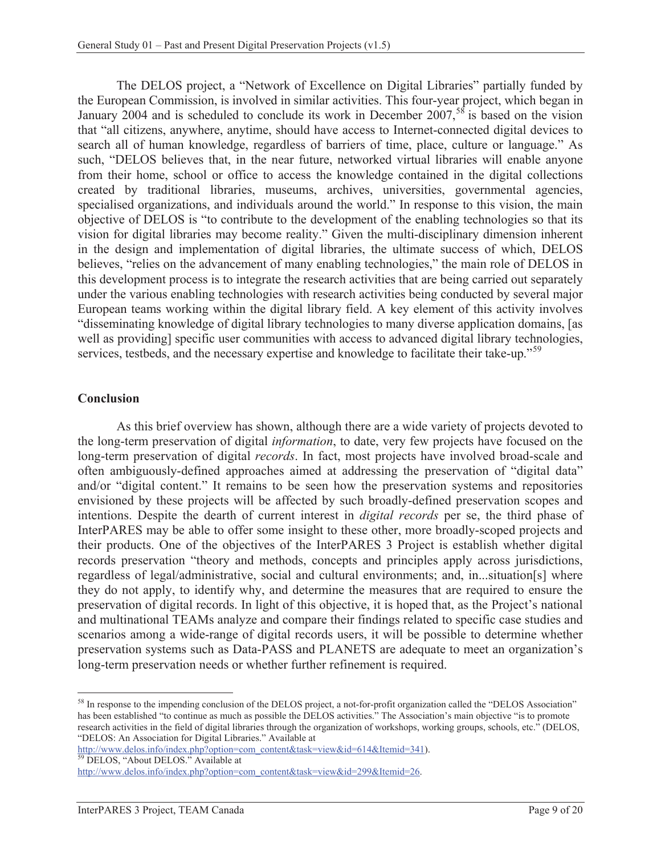The DELOS project, a "Network of Excellence on Digital Libraries" partially funded by the European Commission, is involved in similar activities. This four-year project, which began in January 2004 and is scheduled to conclude its work in December 2007,<sup>58</sup> is based on the vision that "all citizens, anywhere, anytime, should have access to Internet-connected digital devices to search all of human knowledge, regardless of barriers of time, place, culture or language." As such, "DELOS believes that, in the near future, networked virtual libraries will enable anyone from their home, school or office to access the knowledge contained in the digital collections created by traditional libraries, museums, archives, universities, governmental agencies, specialised organizations, and individuals around the world." In response to this vision, the main objective of DELOS is "to contribute to the development of the enabling technologies so that its vision for digital libraries may become reality." Given the multi-disciplinary dimension inherent in the design and implementation of digital libraries, the ultimate success of which, DELOS believes, "relies on the advancement of many enabling technologies," the main role of DELOS in this development process is to integrate the research activities that are being carried out separately under the various enabling technologies with research activities being conducted by several major European teams working within the digital library field. A key element of this activity involves "disseminating knowledge of digital library technologies to many diverse application domains, [as well as providing] specific user communities with access to advanced digital library technologies, services, testbeds, and the necessary expertise and knowledge to facilitate their take-up."<sup>59</sup>

#### **Conclusion**

As this brief overview has shown, although there are a wide variety of projects devoted to the long-term preservation of digital *information*, to date, very few projects have focused on the long-term preservation of digital *records*. In fact, most projects have involved broad-scale and often ambiguously-defined approaches aimed at addressing the preservation of "digital data" and/or "digital content." It remains to be seen how the preservation systems and repositories envisioned by these projects will be affected by such broadly-defined preservation scopes and intentions. Despite the dearth of current interest in *digital records* per se, the third phase of InterPARES may be able to offer some insight to these other, more broadly-scoped projects and their products. One of the objectives of the InterPARES 3 Project is establish whether digital records preservation "theory and methods, concepts and principles apply across jurisdictions, regardless of legal/administrative, social and cultural environments; and, in...situation[s] where they do not apply, to identify why, and determine the measures that are required to ensure the preservation of digital records. In light of this objective, it is hoped that, as the Project's national and multinational TEAMs analyze and compare their findings related to specific case studies and scenarios among a wide-range of digital records users, it will be possible to determine whether preservation systems such as Data-PASS and PLANETS are adequate to meet an organization's long-term preservation needs or whether further refinement is required.

 $\overline{a}$ <sup>58</sup> In response to the impending conclusion of the DELOS project, a not-for-profit organization called the "DELOS Association" has been established "to continue as much as possible the DELOS activities." The Association's main objective "is to promote research activities in the field of digital libraries through the organization of workshops, working groups, schools, etc." (DELOS, "DELOS: An Association for Digital Libraries." Available at

http://www.delos.info/index.php?option=com\_content&task=view&id=614&Itemid=341).<br><sup>59</sup> DELOS, "About DELOS." Available at

http://www.delos.info/index.php?option=com\_content&task=view&id=299&Itemid=26.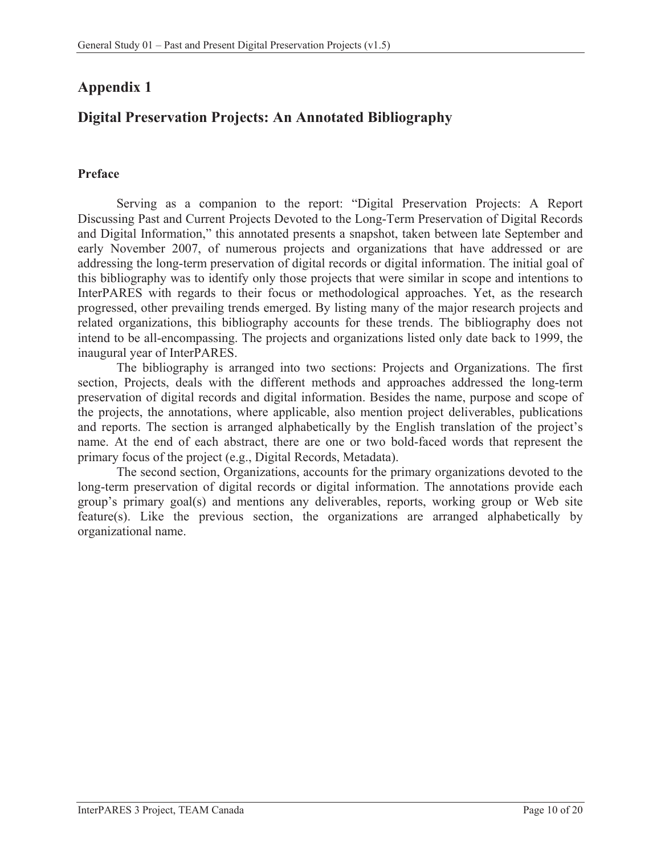# **Appendix 1**

# **Digital Preservation Projects: An Annotated Bibliography**

## **Preface**

Serving as a companion to the report: "Digital Preservation Projects: A Report Discussing Past and Current Projects Devoted to the Long-Term Preservation of Digital Records and Digital Information," this annotated presents a snapshot, taken between late September and early November 2007, of numerous projects and organizations that have addressed or are addressing the long-term preservation of digital records or digital information. The initial goal of this bibliography was to identify only those projects that were similar in scope and intentions to InterPARES with regards to their focus or methodological approaches. Yet, as the research progressed, other prevailing trends emerged. By listing many of the major research projects and related organizations, this bibliography accounts for these trends. The bibliography does not intend to be all-encompassing. The projects and organizations listed only date back to 1999, the inaugural year of InterPARES.

The bibliography is arranged into two sections: Projects and Organizations. The first section, Projects, deals with the different methods and approaches addressed the long-term preservation of digital records and digital information. Besides the name, purpose and scope of the projects, the annotations, where applicable, also mention project deliverables, publications and reports. The section is arranged alphabetically by the English translation of the project's name. At the end of each abstract, there are one or two bold-faced words that represent the primary focus of the project (e.g., Digital Records, Metadata).

The second section, Organizations, accounts for the primary organizations devoted to the long-term preservation of digital records or digital information. The annotations provide each group's primary goal(s) and mentions any deliverables, reports, working group or Web site feature(s). Like the previous section, the organizations are arranged alphabetically by organizational name.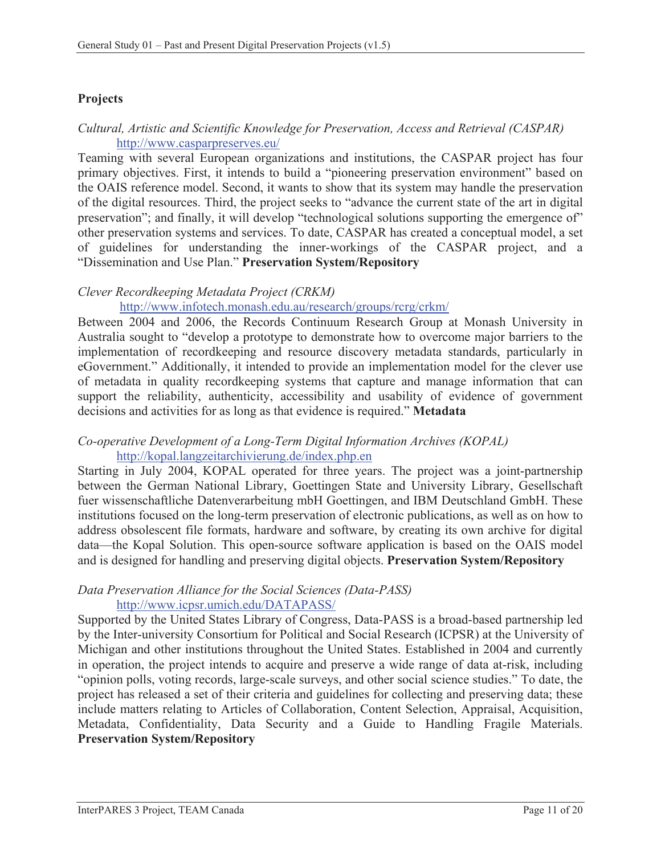## **Projects**

## *Cultural, Artistic and Scientific Knowledge for Preservation, Access and Retrieval (CASPAR)*  http://www.casparpreserves.eu/

Teaming with several European organizations and institutions, the CASPAR project has four primary objectives. First, it intends to build a "pioneering preservation environment" based on the OAIS reference model. Second, it wants to show that its system may handle the preservation of the digital resources. Third, the project seeks to "advance the current state of the art in digital preservation"; and finally, it will develop "technological solutions supporting the emergence of" other preservation systems and services. To date, CASPAR has created a conceptual model, a set of guidelines for understanding the inner-workings of the CASPAR project, and a "Dissemination and Use Plan." **Preservation System/Repository**

## *Clever Recordkeeping Metadata Project (CRKM)*

## http://www.infotech.monash.edu.au/research/groups/rcrg/crkm/

Between 2004 and 2006, the Records Continuum Research Group at Monash University in Australia sought to "develop a prototype to demonstrate how to overcome major barriers to the implementation of recordkeeping and resource discovery metadata standards, particularly in eGovernment." Additionally, it intended to provide an implementation model for the clever use of metadata in quality recordkeeping systems that capture and manage information that can support the reliability, authenticity, accessibility and usability of evidence of government decisions and activities for as long as that evidence is required." **Metadata**

#### *Co-operative Development of a Long-Term Digital Information Archives (KOPAL)* http://kopal.langzeitarchivierung.de/index.php.en

Starting in July 2004, KOPAL operated for three years. The project was a joint-partnership between the German National Library, Goettingen State and University Library, Gesellschaft fuer wissenschaftliche Datenverarbeitung mbH Goettingen, and IBM Deutschland GmbH. These institutions focused on the long-term preservation of electronic publications, as well as on how to address obsolescent file formats, hardware and software, by creating its own archive for digital data—the Kopal Solution. This open-source software application is based on the OAIS model and is designed for handling and preserving digital objects. **Preservation System/Repository** 

#### *Data Preservation Alliance for the Social Sciences (Data-PASS)* http://www.icpsr.umich.edu/DATAPASS/

Supported by the United States Library of Congress, Data-PASS is a broad-based partnership led by the Inter-university Consortium for Political and Social Research (ICPSR) at the University of Michigan and other institutions throughout the United States. Established in 2004 and currently in operation, the project intends to acquire and preserve a wide range of data at-risk, including "opinion polls, voting records, large-scale surveys, and other social science studies." To date, the project has released a set of their criteria and guidelines for collecting and preserving data; these include matters relating to Articles of Collaboration, Content Selection, Appraisal, Acquisition, Metadata, Confidentiality, Data Security and a Guide to Handling Fragile Materials. **Preservation System/Repository**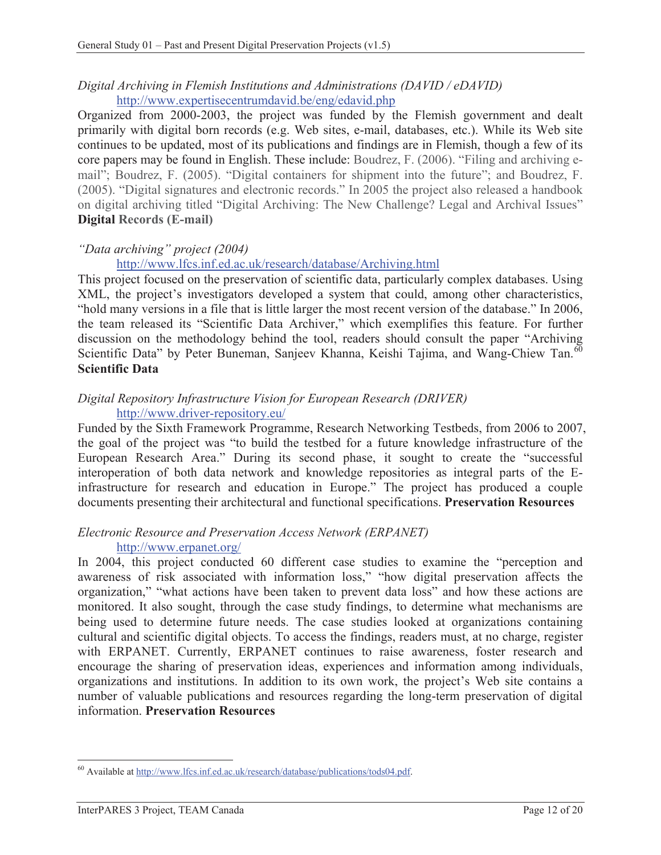## *Digital Archiving in Flemish Institutions and Administrations (DAVID / eDAVID)* http://www.expertisecentrumdavid.be/eng/edavid.php

Organized from 2000-2003, the project was funded by the Flemish government and dealt primarily with digital born records (e.g. Web sites, e-mail, databases, etc.). While its Web site continues to be updated, most of its publications and findings are in Flemish, though a few of its core papers may be found in English. These include: Boudrez, F. (2006). "Filing and archiving email"; Boudrez, F. (2005). "Digital containers for shipment into the future"; and Boudrez, F. (2005). "Digital signatures and electronic records." In 2005 the project also released a handbook on digital archiving titled "Digital Archiving: The New Challenge? Legal and Archival Issues" **Digital Records (E-mail)** 

## *"Data archiving" project (2004)*

http://www.lfcs.inf.ed.ac.uk/research/database/Archiving.html

This project focused on the preservation of scientific data, particularly complex databases. Using XML, the project's investigators developed a system that could, among other characteristics, "hold many versions in a file that is little larger the most recent version of the database." In 2006, the team released its "Scientific Data Archiver," which exemplifies this feature. For further discussion on the methodology behind the tool, readers should consult the paper "Archiving Scientific Data" by Peter Buneman, Sanjeev Khanna, Keishi Tajima, and Wang-Chiew Tan.<sup>60</sup> **Scientific Data** 

#### *Digital Repository Infrastructure Vision for European Research (DRIVER)* http://www.driver-repository.eu/

Funded by the Sixth Framework Programme, Research Networking Testbeds, from 2006 to 2007, the goal of the project was "to build the testbed for a future knowledge infrastructure of the European Research Area." During its second phase, it sought to create the "successful interoperation of both data network and knowledge repositories as integral parts of the Einfrastructure for research and education in Europe." The project has produced a couple documents presenting their architectural and functional specifications. **Preservation Resources** 

# *Electronic Resource and Preservation Access Network (ERPANET)*

### http://www.erpanet.org/

In 2004, this project conducted 60 different case studies to examine the "perception and awareness of risk associated with information loss," "how digital preservation affects the organization," "what actions have been taken to prevent data loss" and how these actions are monitored. It also sought, through the case study findings, to determine what mechanisms are being used to determine future needs. The case studies looked at organizations containing cultural and scientific digital objects. To access the findings, readers must, at no charge, register with ERPANET. Currently, ERPANET continues to raise awareness, foster research and encourage the sharing of preservation ideas, experiences and information among individuals, organizations and institutions. In addition to its own work, the project's Web site contains a number of valuable publications and resources regarding the long-term preservation of digital information. **Preservation Resources**

 $\overline{a}$ 60 Available at http://www.lfcs.inf.ed.ac.uk/research/database/publications/tods04.pdf.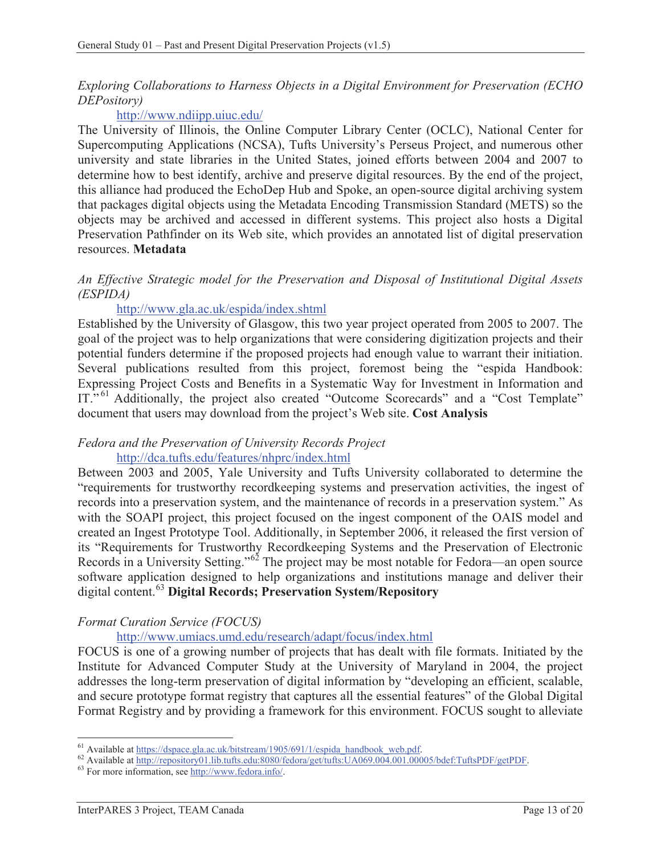### *Exploring Collaborations to Harness Objects in a Digital Environment for Preservation (ECHO DEPository)*

## http://www.ndiipp.uiuc.edu/

The University of Illinois, the Online Computer Library Center (OCLC), National Center for Supercomputing Applications (NCSA), Tufts University's Perseus Project, and numerous other university and state libraries in the United States, joined efforts between 2004 and 2007 to determine how to best identify, archive and preserve digital resources. By the end of the project, this alliance had produced the EchoDep Hub and Spoke, an open-source digital archiving system that packages digital objects using the Metadata Encoding Transmission Standard (METS) so the objects may be archived and accessed in different systems. This project also hosts a Digital Preservation Pathfinder on its Web site, which provides an annotated list of digital preservation resources. **Metadata**

#### *An Effective Strategic model for the Preservation and Disposal of Institutional Digital Assets (ESPIDA)*

### http://www.gla.ac.uk/espida/index.shtml

Established by the University of Glasgow, this two year project operated from 2005 to 2007. The goal of the project was to help organizations that were considering digitization projects and their potential funders determine if the proposed projects had enough value to warrant their initiation. Several publications resulted from this project, foremost being the "espida Handbook: Expressing Project Costs and Benefits in a Systematic Way for Investment in Information and IT."<sup>61</sup> Additionally, the project also created "Outcome Scorecards" and a "Cost Template" document that users may download from the project's Web site. **Cost Analysis**

#### *Fedora and the Preservation of University Records Project* http://dca.tufts.edu/features/nhprc/index.html

Between 2003 and 2005, Yale University and Tufts University collaborated to determine the "requirements for trustworthy recordkeeping systems and preservation activities, the ingest of records into a preservation system, and the maintenance of records in a preservation system." As with the SOAPI project, this project focused on the ingest component of the OAIS model and created an Ingest Prototype Tool. Additionally, in September 2006, it released the first version of its "Requirements for Trustworthy Recordkeeping Systems and the Preservation of Electronic Records in a University Setting."<sup>62</sup> The project may be most notable for Fedora—an open source software application designed to help organizations and institutions manage and deliver their digital content.<sup>63</sup> **Digital Records; Preservation System/Repository** 

### *Format Curation Service (FOCUS)*

http://www.umiacs.umd.edu/research/adapt/focus/index.html

FOCUS is one of a growing number of projects that has dealt with file formats. Initiated by the Institute for Advanced Computer Study at the University of Maryland in 2004, the project addresses the long-term preservation of digital information by "developing an efficient, scalable, and secure prototype format registry that captures all the essential features" of the Global Digital Format Registry and by providing a framework for this environment. FOCUS sought to alleviate

 $\overline{a}$ 

<sup>&</sup>lt;sup>61</sup> Available at https://dspace.gla.ac.uk/bitstream/1905/691/1/espida\_handbook\_web.pdf.<br><sup>62</sup> Available at http://repository01.lib.tufts.edu:8080/fedora/get/tufts:UA069.004.001.00005/bdef:TuftsPDF/getPDF.<br><sup>63</sup> For more inf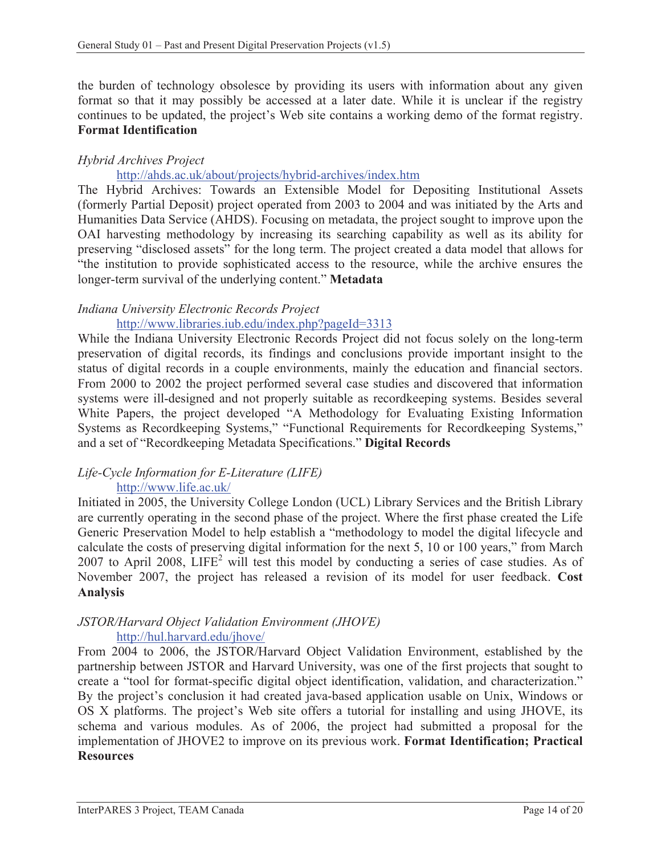the burden of technology obsolesce by providing its users with information about any given format so that it may possibly be accessed at a later date. While it is unclear if the registry continues to be updated, the project's Web site contains a working demo of the format registry. **Format Identification**

## *Hybrid Archives Project*

### http://ahds.ac.uk/about/projects/hybrid-archives/index.htm

The Hybrid Archives: Towards an Extensible Model for Depositing Institutional Assets (formerly Partial Deposit) project operated from 2003 to 2004 and was initiated by the Arts and Humanities Data Service (AHDS). Focusing on metadata, the project sought to improve upon the OAI harvesting methodology by increasing its searching capability as well as its ability for preserving "disclosed assets" for the long term. The project created a data model that allows for "the institution to provide sophisticated access to the resource, while the archive ensures the longer-term survival of the underlying content." **Metadata**

# *Indiana University Electronic Records Project*

### http://www.libraries.iub.edu/index.php?pageId=3313

While the Indiana University Electronic Records Project did not focus solely on the long-term preservation of digital records, its findings and conclusions provide important insight to the status of digital records in a couple environments, mainly the education and financial sectors. From 2000 to 2002 the project performed several case studies and discovered that information systems were ill-designed and not properly suitable as recordkeeping systems. Besides several White Papers, the project developed "A Methodology for Evaluating Existing Information Systems as Recordkeeping Systems," "Functional Requirements for Recordkeeping Systems," and a set of "Recordkeeping Metadata Specifications." **Digital Records**

#### *Life-Cycle Information for E-Literature (LIFE)*  http://www.life.ac.uk/

Initiated in 2005, the University College London (UCL) Library Services and the British Library are currently operating in the second phase of the project. Where the first phase created the Life Generic Preservation Model to help establish a "methodology to model the digital lifecycle and calculate the costs of preserving digital information for the next 5, 10 or 100 years," from March 2007 to April 2008,  $LIFE<sup>2</sup>$  will test this model by conducting a series of case studies. As of November 2007, the project has released a revision of its model for user feedback. **Cost Analysis** 

#### *JSTOR/Harvard Object Validation Environment (JHOVE)*  http://hul.harvard.edu/jhove/

From 2004 to 2006, the JSTOR/Harvard Object Validation Environment, established by the partnership between JSTOR and Harvard University, was one of the first projects that sought to create a "tool for format-specific digital object identification, validation, and characterization." By the project's conclusion it had created java-based application usable on Unix, Windows or OS X platforms. The project's Web site offers a tutorial for installing and using JHOVE, its schema and various modules. As of 2006, the project had submitted a proposal for the implementation of JHOVE2 to improve on its previous work. **Format Identification; Practical Resources**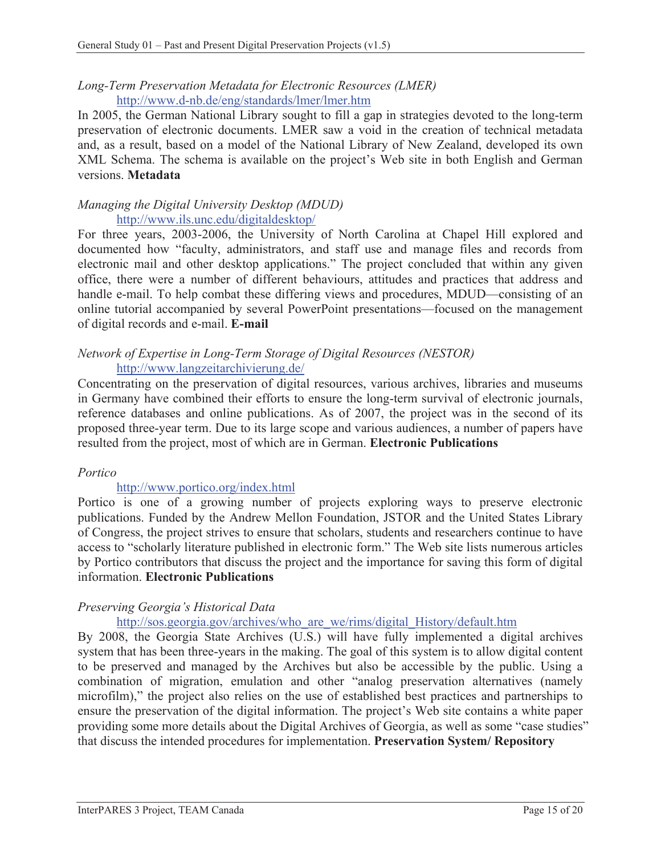### *Long-Term Preservation Metadata for Electronic Resources (LMER)*  http://www.d-nb.de/eng/standards/lmer/lmer.htm

In 2005, the German National Library sought to fill a gap in strategies devoted to the long-term preservation of electronic documents. LMER saw a void in the creation of technical metadata and, as a result, based on a model of the National Library of New Zealand, developed its own XML Schema. The schema is available on the project's Web site in both English and German versions. **Metadata**

### *Managing the Digital University Desktop (MDUD)*  http://www.ils.unc.edu/digitaldesktop/

For three years, 2003-2006, the University of North Carolina at Chapel Hill explored and documented how "faculty, administrators, and staff use and manage files and records from electronic mail and other desktop applications." The project concluded that within any given office, there were a number of different behaviours, attitudes and practices that address and handle e-mail. To help combat these differing views and procedures, MDUD—consisting of an online tutorial accompanied by several PowerPoint presentations—focused on the management of digital records and e-mail. **E-mail**

#### *Network of Expertise in Long-Term Storage of Digital Resources (NESTOR)* http://www.langzeitarchivierung.de/

Concentrating on the preservation of digital resources, various archives, libraries and museums in Germany have combined their efforts to ensure the long-term survival of electronic journals, reference databases and online publications. As of 2007, the project was in the second of its proposed three-year term. Due to its large scope and various audiences, a number of papers have resulted from the project, most of which are in German. **Electronic Publications**

### *Portico*

## http://www.portico.org/index.html

Portico is one of a growing number of projects exploring ways to preserve electronic publications. Funded by the Andrew Mellon Foundation, JSTOR and the United States Library of Congress, the project strives to ensure that scholars, students and researchers continue to have access to "scholarly literature published in electronic form." The Web site lists numerous articles by Portico contributors that discuss the project and the importance for saving this form of digital information. **Electronic Publications**

### *Preserving Georgia's Historical Data*

http://sos.georgia.gov/archives/who\_are\_we/rims/digital\_History/default.htm

By 2008, the Georgia State Archives (U.S.) will have fully implemented a digital archives system that has been three-years in the making. The goal of this system is to allow digital content to be preserved and managed by the Archives but also be accessible by the public. Using a combination of migration, emulation and other "analog preservation alternatives (namely microfilm)," the project also relies on the use of established best practices and partnerships to ensure the preservation of the digital information. The project's Web site contains a white paper providing some more details about the Digital Archives of Georgia, as well as some "case studies" that discuss the intended procedures for implementation. **Preservation System/ Repository**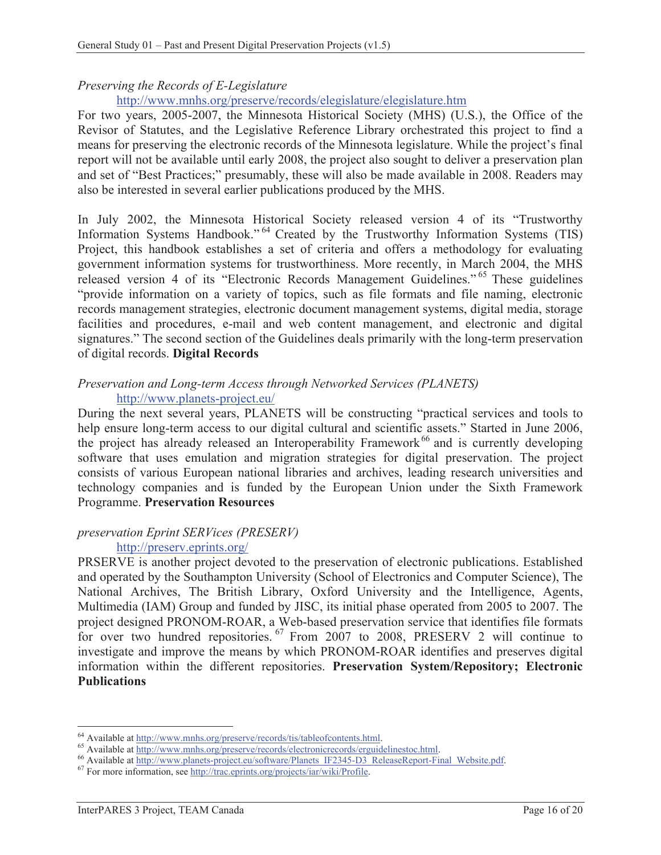## *Preserving the Records of E-Legislature*

### http://www.mnhs.org/preserve/records/elegislature/elegislature.htm

For two years, 2005-2007, the Minnesota Historical Society (MHS) (U.S.), the Office of the Revisor of Statutes, and the Legislative Reference Library orchestrated this project to find a means for preserving the electronic records of the Minnesota legislature. While the project's final report will not be available until early 2008, the project also sought to deliver a preservation plan and set of "Best Practices;" presumably, these will also be made available in 2008. Readers may also be interested in several earlier publications produced by the MHS.

In July 2002, the Minnesota Historical Society released version 4 of its "Trustworthy Information Systems Handbook." 64 Created by the Trustworthy Information Systems (TIS) Project, this handbook establishes a set of criteria and offers a methodology for evaluating government information systems for trustworthiness. More recently, in March 2004, the MHS released version 4 of its "Electronic Records Management Guidelines." 65 These guidelines "provide information on a variety of topics, such as file formats and file naming, electronic records management strategies, electronic document management systems, digital media, storage facilities and procedures, e-mail and web content management, and electronic and digital signatures." The second section of the Guidelines deals primarily with the long-term preservation of digital records. **Digital Records**

#### *Preservation and Long-term Access through Networked Services (PLANETS)* http://www.planets-project.eu/

During the next several years, PLANETS will be constructing "practical services and tools to help ensure long-term access to our digital cultural and scientific assets." Started in June 2006, the project has already released an Interoperability Framework<sup>66</sup> and is currently developing software that uses emulation and migration strategies for digital preservation. The project consists of various European national libraries and archives, leading research universities and technology companies and is funded by the European Union under the Sixth Framework Programme. **Preservation Resources**

#### *preservation Eprint SERVices (PRESERV)*  http://preserv.eprints.org/

PRSERVE is another project devoted to the preservation of electronic publications. Established and operated by the Southampton University (School of Electronics and Computer Science), The National Archives, The British Library, Oxford University and the Intelligence, Agents, Multimedia (IAM) Group and funded by JISC, its initial phase operated from 2005 to 2007. The project designed PRONOM-ROAR, a Web-based preservation service that identifies file formats for over two hundred repositories. <sup>67</sup> From 2007 to 2008, PRESERV 2 will continue to investigate and improve the means by which PRONOM-ROAR identifies and preserves digital information within the different repositories. **Preservation System/Repository; Electronic Publications** 

<sup>&</sup>lt;sup>64</sup> Available at http://www.mnhs.org/preserve/records/tis/tableofcontents.html.

<sup>&</sup>lt;sup>65</sup> Available at http://www.mnhs.org/preserve/records/electronicrecords/erguidelinestoc.html.<br><sup>66</sup> Available at http://www.planets-project.eu/software/Planets\_IF2345-D3\_ReleaseReport-Final\_Website.pdf.<br><sup>67</sup> For more infor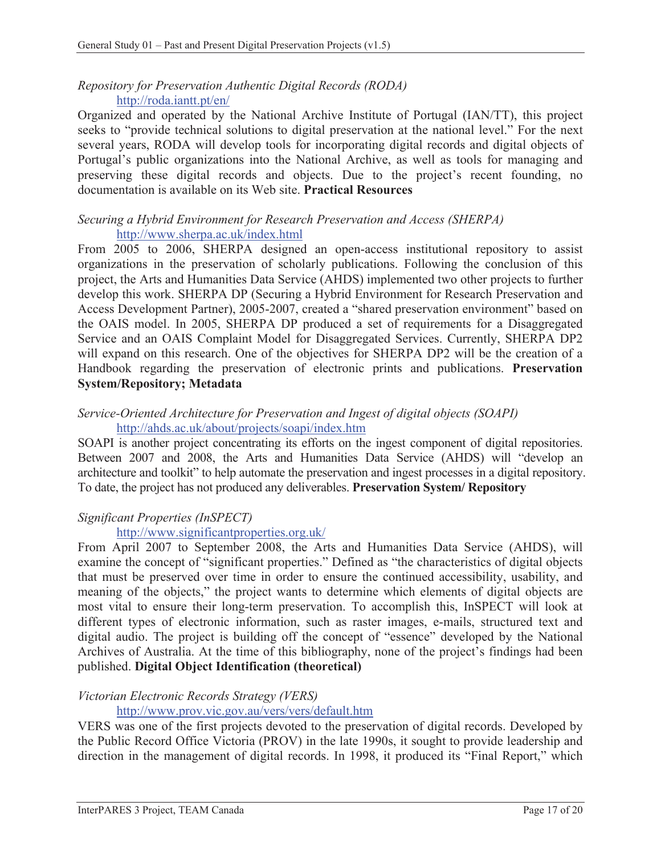### *Repository for Preservation Authentic Digital Records (RODA)*  http://roda.iantt.pt/en/

Organized and operated by the National Archive Institute of Portugal (IAN/TT), this project seeks to "provide technical solutions to digital preservation at the national level." For the next several years, RODA will develop tools for incorporating digital records and digital objects of Portugal's public organizations into the National Archive, as well as tools for managing and preserving these digital records and objects. Due to the project's recent founding, no documentation is available on its Web site. **Practical Resources**

#### *Securing a Hybrid Environment for Research Preservation and Access (SHERPA)*  http://www.sherpa.ac.uk/index.html

From 2005 to 2006, SHERPA designed an open-access institutional repository to assist organizations in the preservation of scholarly publications. Following the conclusion of this project, the Arts and Humanities Data Service (AHDS) implemented two other projects to further develop this work. SHERPA DP (Securing a Hybrid Environment for Research Preservation and Access Development Partner), 2005-2007, created a "shared preservation environment" based on the OAIS model. In 2005, SHERPA DP produced a set of requirements for a Disaggregated Service and an OAIS Complaint Model for Disaggregated Services. Currently, SHERPA DP2 will expand on this research. One of the objectives for SHERPA DP2 will be the creation of a Handbook regarding the preservation of electronic prints and publications. **Preservation System/Repository; Metadata** 

## *Service-Oriented Architecture for Preservation and Ingest of digital objects (SOAPI)* http://ahds.ac.uk/about/projects/soapi/index.htm

SOAPI is another project concentrating its efforts on the ingest component of digital repositories. Between 2007 and 2008, the Arts and Humanities Data Service (AHDS) will "develop an architecture and toolkit" to help automate the preservation and ingest processes in a digital repository. To date, the project has not produced any deliverables. **Preservation System/ Repository** 

## *Significant Properties (InSPECT)*

### http://www.significantproperties.org.uk/

From April 2007 to September 2008, the Arts and Humanities Data Service (AHDS), will examine the concept of "significant properties." Defined as "the characteristics of digital objects that must be preserved over time in order to ensure the continued accessibility, usability, and meaning of the objects," the project wants to determine which elements of digital objects are most vital to ensure their long-term preservation. To accomplish this, InSPECT will look at different types of electronic information, such as raster images, e-mails, structured text and digital audio. The project is building off the concept of "essence" developed by the National Archives of Australia. At the time of this bibliography, none of the project's findings had been published. **Digital Object Identification (theoretical)**

### *Victorian Electronic Records Strategy (VERS)*

## http://www.prov.vic.gov.au/vers/vers/default.htm

VERS was one of the first projects devoted to the preservation of digital records. Developed by the Public Record Office Victoria (PROV) in the late 1990s, it sought to provide leadership and direction in the management of digital records. In 1998, it produced its "Final Report," which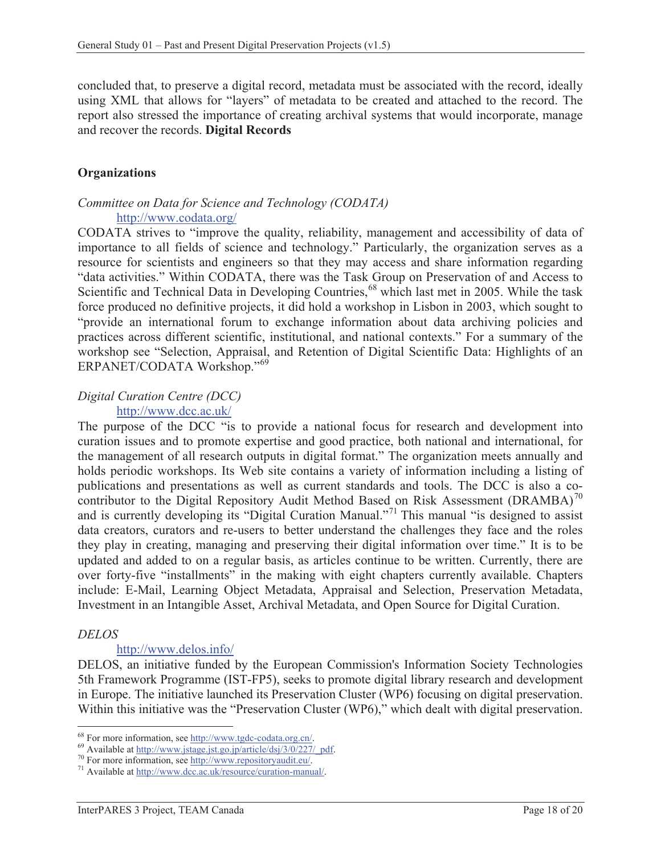concluded that, to preserve a digital record, metadata must be associated with the record, ideally using XML that allows for "layers" of metadata to be created and attached to the record. The report also stressed the importance of creating archival systems that would incorporate, manage and recover the records. **Digital Records** 

#### **Organizations**

### *Committee on Data for Science and Technology (CODATA)*  http://www.codata.org/

CODATA strives to "improve the quality, reliability, management and accessibility of data of importance to all fields of science and technology." Particularly, the organization serves as a resource for scientists and engineers so that they may access and share information regarding "data activities." Within CODATA, there was the Task Group on Preservation of and Access to Scientific and Technical Data in Developing Countries,<sup>68</sup> which last met in 2005. While the task force produced no definitive projects, it did hold a workshop in Lisbon in 2003, which sought to "provide an international forum to exchange information about data archiving policies and practices across different scientific, institutional, and national contexts." For a summary of the workshop see "Selection, Appraisal, and Retention of Digital Scientific Data: Highlights of an ERPANET/CODATA Workshop."69

#### *Digital Curation Centre (DCC)*  http://www.dcc.ac.uk/

The purpose of the DCC "is to provide a national focus for research and development into curation issues and to promote expertise and good practice, both national and international, for the management of all research outputs in digital format." The organization meets annually and holds periodic workshops. Its Web site contains a variety of information including a listing of publications and presentations as well as current standards and tools. The DCC is also a cocontributor to the Digital Repository Audit Method Based on Risk Assessment (DRAMBA)<sup>70</sup> and is currently developing its "Digital Curation Manual."<sup>71</sup> This manual "is designed to assist data creators, curators and re-users to better understand the challenges they face and the roles they play in creating, managing and preserving their digital information over time." It is to be updated and added to on a regular basis, as articles continue to be written. Currently, there are over forty-five "installments" in the making with eight chapters currently available. Chapters include: E-Mail, Learning Object Metadata, Appraisal and Selection, Preservation Metadata, Investment in an Intangible Asset, Archival Metadata, and Open Source for Digital Curation.

#### *DELOS*

### http://www.delos.info/

DELOS, an initiative funded by the European Commission's Information Society Technologies 5th Framework Programme (IST-FP5), seeks to promote digital library research and development in Europe. The initiative launched its Preservation Cluster (WP6) focusing on digital preservation. Within this initiative was the "Preservation Cluster (WP6)," which dealt with digital preservation.

<sup>&</sup>lt;sup>68</sup> For more information, see http://www.tgdc-codata.org.cn/.

<sup>&</sup>lt;sup>69</sup> Available at http://www.jstage.jst.go.jp/article/dsj/3/0/227/\_pdf.<br><sup>70</sup> For more information, see http://www.repositoryaudit.eu/.<br><sup>71</sup> Available at http://www.dcc.ac.uk/resource/curation-manual/.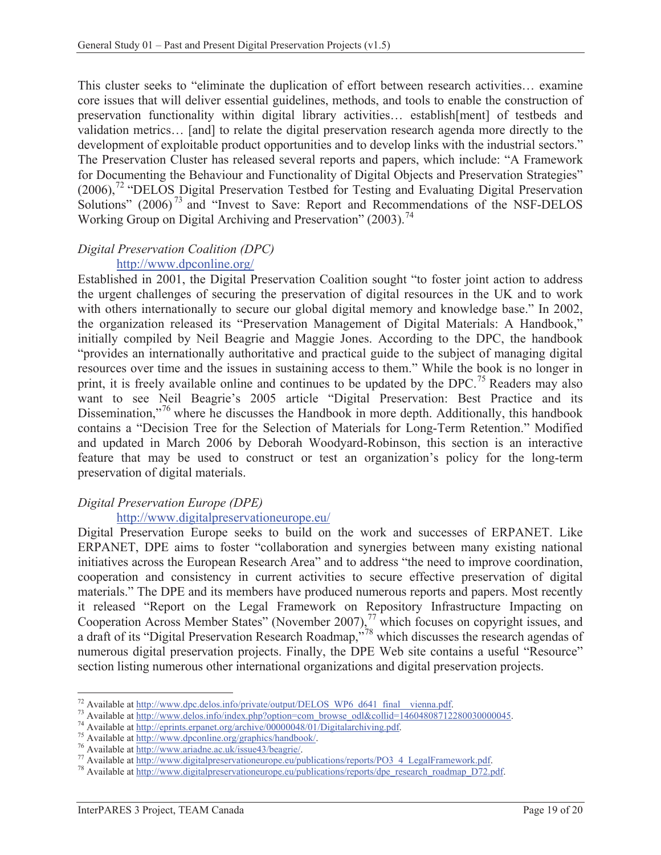This cluster seeks to "eliminate the duplication of effort between research activities… examine core issues that will deliver essential guidelines, methods, and tools to enable the construction of preservation functionality within digital library activities… establish[ment] of testbeds and validation metrics… [and] to relate the digital preservation research agenda more directly to the development of exploitable product opportunities and to develop links with the industrial sectors." The Preservation Cluster has released several reports and papers, which include: "A Framework for Documenting the Behaviour and Functionality of Digital Objects and Preservation Strategies" (2006),<sup>72</sup> "DELOS Digital Preservation Testbed for Testing and Evaluating Digital Preservation Solutions" (2006)<sup>73</sup> and "Invest to Save: Report and Recommendations of the NSF-DELOS Working Group on Digital Archiving and Preservation"  $(2003)$ <sup>74</sup>

## *Digital Preservation Coalition (DPC)*

## http://www.dpconline.org/

Established in 2001, the Digital Preservation Coalition sought "to foster joint action to address the urgent challenges of securing the preservation of digital resources in the UK and to work with others internationally to secure our global digital memory and knowledge base." In 2002, the organization released its "Preservation Management of Digital Materials: A Handbook," initially compiled by Neil Beagrie and Maggie Jones. According to the DPC, the handbook "provides an internationally authoritative and practical guide to the subject of managing digital resources over time and the issues in sustaining access to them." While the book is no longer in print, it is freely available online and continues to be updated by the DPC.<sup>75</sup> Readers may also want to see Neil Beagrie's 2005 article "Digital Preservation: Best Practice and its Dissemination,"<sup>76</sup> where he discusses the Handbook in more depth. Additionally, this handbook contains a "Decision Tree for the Selection of Materials for Long-Term Retention." Modified and updated in March 2006 by Deborah Woodyard-Robinson, this section is an interactive feature that may be used to construct or test an organization's policy for the long-term preservation of digital materials.

## *Digital Preservation Europe (DPE)*

### http://www.digitalpreservationeurope.eu/

Digital Preservation Europe seeks to build on the work and successes of ERPANET. Like ERPANET, DPE aims to foster "collaboration and synergies between many existing national initiatives across the European Research Area" and to address "the need to improve coordination, cooperation and consistency in current activities to secure effective preservation of digital materials." The DPE and its members have produced numerous reports and papers. Most recently it released "Report on the Legal Framework on Repository Infrastructure Impacting on Cooperation Across Member States" (November 2007), $^{77}$  which focuses on copyright issues, and a draft of its "Digital Preservation Research Roadmap,"<sup>78</sup> which discusses the research agendas of numerous digital preservation projects. Finally, the DPE Web site contains a useful "Resource" section listing numerous other international organizations and digital preservation projects.

<sup>&</sup>lt;sup>72</sup> Available at http://www.dpc.delos.info/private/output/DELOS WP6 d641 final vienna.pdf.

<sup>&</sup>lt;sup>73</sup> Available at http://www.delos.info/index.php?option=com\_browse\_odl&collid=14604808712280030000045.<br>
<sup>74</sup> Available at http://eprints.erpanet.org/archive/00000048/01/Digitalarchiving.pdf.<br>
<sup>75</sup> Available at http://www